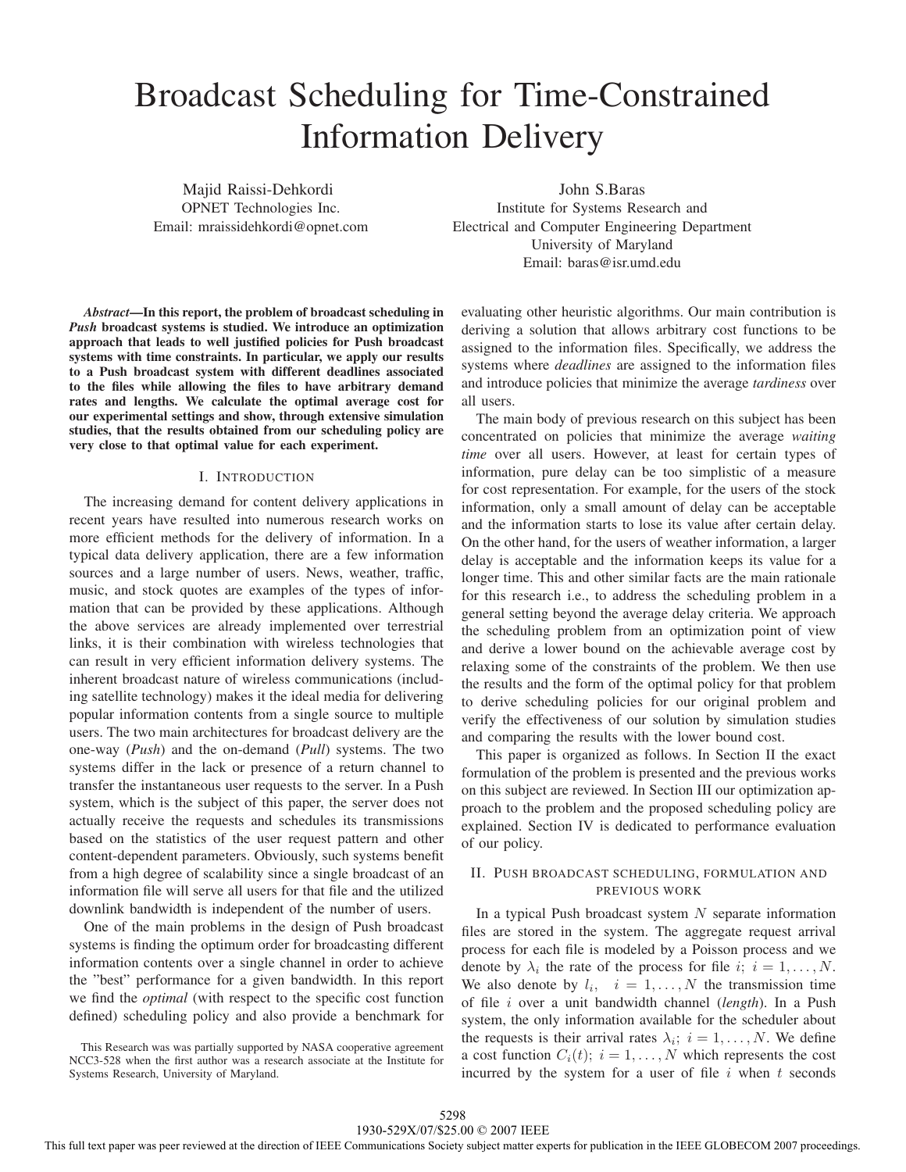# Broadcast Scheduling for Time-Constrained Information Delivery

Majid Raissi-Dehkordi OPNET Technologies Inc. Email: mraissidehkordi@opnet.com

John S.Baras Institute for Systems Research and Electrical and Computer Engineering Department University of Maryland Email: baras@isr.umd.edu

*Abstract***—In this report, the problem of broadcast scheduling in** *Push* **broadcast systems is studied. We introduce an optimization approach that leads to well justified policies for Push broadcast systems with time constraints. In particular, we apply our results to a Push broadcast system with different deadlines associated to the files while allowing the files to have arbitrary demand rates and lengths. We calculate the optimal average cost for our experimental settings and show, through extensive simulation studies, that the results obtained from our scheduling policy are very close to that optimal value for each experiment.**

#### I. INTRODUCTION

The increasing demand for content delivery applications in recent years have resulted into numerous research works on more efficient methods for the delivery of information. In a typical data delivery application, there are a few information sources and a large number of users. News, weather, traffic, music, and stock quotes are examples of the types of information that can be provided by these applications. Although the above services are already implemented over terrestrial links, it is their combination with wireless technologies that can result in very efficient information delivery systems. The inherent broadcast nature of wireless communications (including satellite technology) makes it the ideal media for delivering popular information contents from a single source to multiple users. The two main architectures for broadcast delivery are the one-way (*Push*) and the on-demand (*Pull*) systems. The two systems differ in the lack or presence of a return channel to transfer the instantaneous user requests to the server. In a Push system, which is the subject of this paper, the server does not actually receive the requests and schedules its transmissions based on the statistics of the user request pattern and other content-dependent parameters. Obviously, such systems benefit from a high degree of scalability since a single broadcast of an information file will serve all users for that file and the utilized downlink bandwidth is independent of the number of users.

One of the main problems in the design of Push broadcast systems is finding the optimum order for broadcasting different information contents over a single channel in order to achieve the "best" performance for a given bandwidth. In this report we find the *optimal* (with respect to the specific cost function defined) scheduling policy and also provide a benchmark for

This Research was was partially supported by NASA cooperative agreement NCC3-528 when the first author was a research associate at the Institute for Systems Research, University of Maryland.

evaluating other heuristic algorithms. Our main contribution is deriving a solution that allows arbitrary cost functions to be assigned to the information files. Specifically, we address the systems where *deadlines* are assigned to the information files and introduce policies that minimize the average *tardiness* over all users.

The main body of previous research on this subject has been concentrated on policies that minimize the average *waiting time* over all users. However, at least for certain types of information, pure delay can be too simplistic of a measure for cost representation. For example, for the users of the stock information, only a small amount of delay can be acceptable and the information starts to lose its value after certain delay. On the other hand, for the users of weather information, a larger delay is acceptable and the information keeps its value for a longer time. This and other similar facts are the main rationale for this research i.e., to address the scheduling problem in a general setting beyond the average delay criteria. We approach the scheduling problem from an optimization point of view and derive a lower bound on the achievable average cost by relaxing some of the constraints of the problem. We then use the results and the form of the optimal policy for that problem to derive scheduling policies for our original problem and verify the effectiveness of our solution by simulation studies and comparing the results with the lower bound cost.

This paper is organized as follows. In Section II the exact formulation of the problem is presented and the previous works on this subject are reviewed. In Section III our optimization approach to the problem and the proposed scheduling policy are explained. Section IV is dedicated to performance evaluation of our policy.

# II. PUSH BROADCAST SCHEDULING, FORMULATION AND PREVIOUS WORK

In a typical Push broadcast system  $N$  separate information files are stored in the system. The aggregate request arrival process for each file is modeled by a Poisson process and we denote by  $\lambda_i$  the rate of the process for file  $i; i = 1, \ldots, N$ . We also denote by  $l_i$ ,  $i = 1, ..., N$  the transmission time of file i over a unit bandwidth channel (*length*). In a Push system, the only information available for the scheduler about the requests is their arrival rates  $\lambda_i$ ;  $i = 1, \dots, N$ . We define a cost function  $C_i(t)$ ;  $i = 1, \ldots, N$  which represents the cost incurred by the system for a user of file  $i$  when  $t$  seconds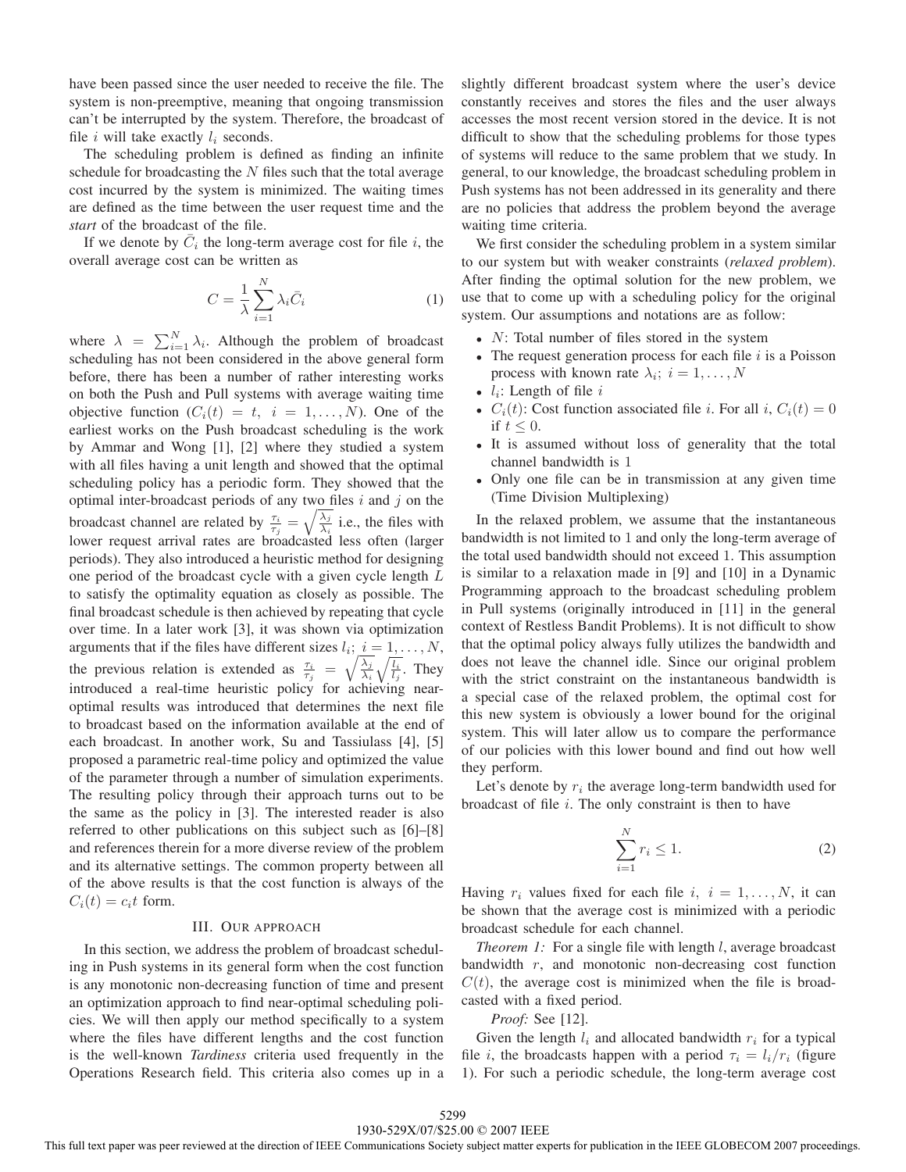have been passed since the user needed to receive the file. The system is non-preemptive, meaning that ongoing transmission can't be interrupted by the system. Therefore, the broadcast of file i will take exactly  $l_i$  seconds.

The scheduling problem is defined as finding an infinite schedule for broadcasting the  $N$  files such that the total average cost incurred by the system is minimized. The waiting times are defined as the time between the user request time and the *start* of the broadcast of the file.

If we denote by  $\overline{C}_i$  the long-term average cost for file i, the overall average cost can be written as

$$
C = \frac{1}{\lambda} \sum_{i=1}^{N} \lambda_i \bar{C}_i
$$
 (1)

where  $\lambda = \sum_{i=1}^{N} \lambda_i$ . Although the problem of broadcast scheduling has not been considered in the above general form before, there has been a number of rather interesting works on both the Push and Pull systems with average waiting time objective function  $(C_i(t) = t, i = 1,...,N)$ . One of the earliest works on the Push broadcast scheduling is the work by Ammar and Wong [1], [2] where they studied a system with all files having a unit length and showed that the optimal scheduling policy has a periodic form. They showed that the optimal inter-broadcast periods of any two files  $i$  and  $j$  on the broadcast channel are related by  $\frac{\tau_i}{\tau_i} = \sqrt{\frac{\lambda_j}{\lambda_i}}$  i.e., the files with lower request arrival rates are broadcasted less often (larger periods). They also introduced a heuristic method for designing one period of the broadcast cycle with a given cycle length L to satisfy the optimality equation as closely as possible. The final broadcast schedule is then achieved by repeating that cycle over time. In a later work [3], it was shown via optimization arguments that if the files have different sizes  $l_i$ ;  $i = 1, \ldots, N$ , the previous relation is extended as  $\frac{\tau_i}{\tau_i} = \sqrt{\frac{\lambda_j}{\lambda_i}} \sqrt{\frac{l_i}{l_i}}$ . They introduced a real-time heuristic policy for achieving nearoptimal results was introduced that determines the next file to broadcast based on the information available at the end of each broadcast. In another work, Su and Tassiulass [4], [5] proposed a parametric real-time policy and optimized the value of the parameter through a number of simulation experiments. The resulting policy through their approach turns out to be the same as the policy in [3]. The interested reader is also referred to other publications on this subject such as [6]–[8] and references therein for a more diverse review of the problem and its alternative settings. The common property between all of the above results is that the cost function is always of the  $C_i(t) = c_i t$  form.

# III. OUR APPROACH

In this section, we address the problem of broadcast scheduling in Push systems in its general form when the cost function is any monotonic non-decreasing function of time and present an optimization approach to find near-optimal scheduling policies. We will then apply our method specifically to a system where the files have different lengths and the cost function is the well-known *Tardiness* criteria used frequently in the Operations Research field. This criteria also comes up in a slightly different broadcast system where the user's device constantly receives and stores the files and the user always accesses the most recent version stored in the device. It is not difficult to show that the scheduling problems for those types of systems will reduce to the same problem that we study. In general, to our knowledge, the broadcast scheduling problem in Push systems has not been addressed in its generality and there are no policies that address the problem beyond the average waiting time criteria.

We first consider the scheduling problem in a system similar to our system but with weaker constraints (*relaxed problem*). After finding the optimal solution for the new problem, we use that to come up with a scheduling policy for the original system. Our assumptions and notations are as follow:

- $N$ : Total number of files stored in the system
- The request generation process for each file  $i$  is a Poisson process with known rate  $\lambda_i$ ;  $i = 1, \dots, N$
- $l_i$ : Length of file  $i$
- $C_i(t)$ : Cost function associated file *i*. For all *i*,  $C_i(t)=0$ if  $t \leq 0$ .
- It is assumed without loss of generality that the total channel bandwidth is 1
- Only one file can be in transmission at any given time (Time Division Multiplexing)

In the relaxed problem, we assume that the instantaneous bandwidth is not limited to 1 and only the long-term average of the total used bandwidth should not exceed 1. This assumption is similar to a relaxation made in [9] and [10] in a Dynamic Programming approach to the broadcast scheduling problem in Pull systems (originally introduced in [11] in the general context of Restless Bandit Problems). It is not difficult to show that the optimal policy always fully utilizes the bandwidth and does not leave the channel idle. Since our original problem with the strict constraint on the instantaneous bandwidth is a special case of the relaxed problem, the optimal cost for this new system is obviously a lower bound for the original system. This will later allow us to compare the performance of our policies with this lower bound and find out how well they perform.

Let's denote by  $r_i$  the average long-term bandwidth used for broadcast of file  $i$ . The only constraint is then to have

$$
\sum_{i=1}^{N} r_i \le 1.
$$
\n<sup>(2)</sup>

Having  $r_i$  values fixed for each file  $i, i = 1, \ldots, N$ , it can be shown that the average cost is minimized with a periodic broadcast schedule for each channel.

*Theorem 1:* For a single file with length *l*, average broadcast bandwidth  $r$ , and monotonic non-decreasing cost function  $C(t)$ , the average cost is minimized when the file is broadcasted with a fixed period.

*Proof:* See [12].

Given the length  $l_i$  and allocated bandwidth  $r_i$  for a typical file *i*, the broadcasts happen with a period  $\tau_i = l_i/r_i$  (figure 1). For such a periodic schedule, the long-term average cost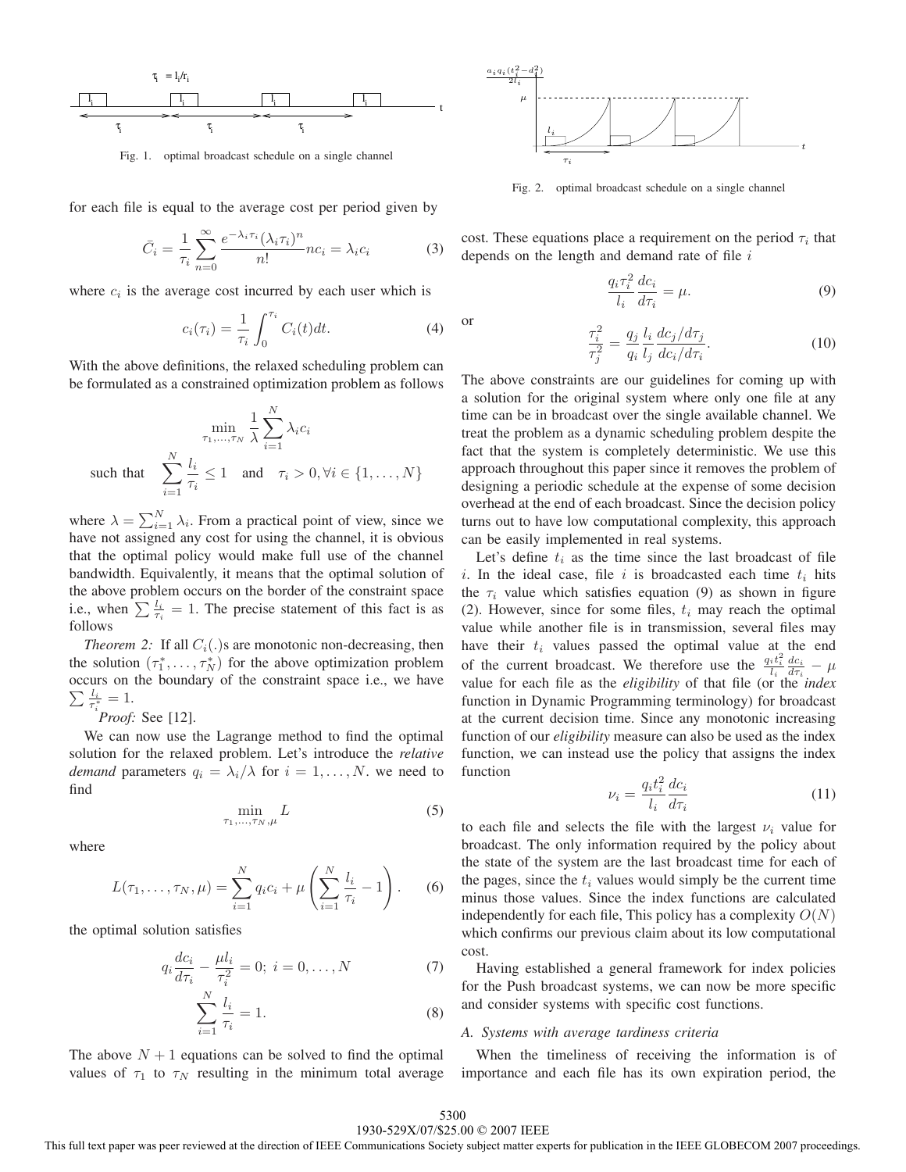

Fig. 1. optimal broadcast schedule on a single channel

for each file is equal to the average cost per period given by

$$
\bar{C}_i = \frac{1}{\tau_i} \sum_{n=0}^{\infty} \frac{e^{-\lambda_i \tau_i} (\lambda_i \tau_i)^n}{n!} n c_i = \lambda_i c_i \tag{3}
$$

where  $c_i$  is the average cost incurred by each user which is

$$
c_i(\tau_i) = \frac{1}{\tau_i} \int_0^{\tau_i} C_i(t) dt.
$$
 (4)

With the above definitions, the relaxed scheduling problem can be formulated as a constrained optimization problem as follows

$$
\min_{\tau_1, \dots, \tau_N} \frac{1}{\lambda} \sum_{i=1}^N \lambda_i c_i
$$
\nsuch that

\n
$$
\sum_{i=1}^N \frac{l_i}{\tau_i} \leq 1 \quad \text{and} \quad \tau_i > 0, \forall i \in \{1, \dots, N\}
$$

where  $\lambda = \sum_{i=1}^{N} \lambda_i$ . From a practical point of view, since we have not assigned any cost for using the channel, it is obvious that the optimal policy would make full use of the channel bandwidth. Equivalently, it means that the optimal solution of the above problem occurs on the border of the constraint space i.e., when  $\sum \frac{l_i}{\tau_i} = 1$ . The precise statement of this fact is as follows

*Theorem 2:* If all  $C_i(.)$  are monotonic non-decreasing, then the solution  $(\tau_1^*, \ldots, \tau_N^*)$  for the above optimization problem occurs on the boundary of the constraint space i.e., we have  $\sum \frac{l_i}{\tau_i^*} = 1.$ 

*Proof:* See [12].

We can now use the Lagrange method to find the optimal solution for the relaxed problem. Let's introduce the *relative demand* parameters  $q_i = \lambda_i/\lambda$  for  $i = 1, \ldots, N$ . we need to find

$$
\min_{\tau_1,\ldots,\tau_N,\mu} L\tag{5}
$$

where

$$
L(\tau_1, ..., \tau_N, \mu) = \sum_{i=1}^N q_i c_i + \mu \left( \sum_{i=1}^N \frac{l_i}{\tau_i} - 1 \right).
$$
 (6)

the optimal solution satisfies

$$
q_i \frac{dc_i}{d\tau_i} - \frac{\mu l_i}{\tau_i^2} = 0; \ i = 0, \dots, N
$$
 (7)

$$
\sum_{i=1}^{N} \frac{l_i}{\tau_i} = 1.
$$
\n(8)

The above  $N + 1$  equations can be solved to find the optimal values of  $\tau_1$  to  $\tau_N$  resulting in the minimum total average



Fig. 2. optimal broadcast schedule on a single channel

cost. These equations place a requirement on the period  $\tau_i$  that depends on the length and demand rate of file  $i$ 

$$
\frac{q_i \tau_i^2}{l_i} \frac{d c_i}{d \tau_i} = \mu. \tag{9}
$$

or 
$$
\frac{\tau_i^2}{\tau_j^2} = \frac{q_j}{q_i} \frac{l_i}{l_j} \frac{dc_j/d\tau_j}{dc_i/d\tau_i}.
$$
 (10)

The above constraints are our guidelines for coming up with a solution for the original system where only one file at any time can be in broadcast over the single available channel. We treat the problem as a dynamic scheduling problem despite the fact that the system is completely deterministic. We use this approach throughout this paper since it removes the problem of designing a periodic schedule at the expense of some decision overhead at the end of each broadcast. Since the decision policy turns out to have low computational complexity, this approach can be easily implemented in real systems.

Let's define  $t_i$  as the time since the last broadcast of file i. In the ideal case, file i is broadcasted each time  $t_i$  hits the  $\tau_i$  value which satisfies equation (9) as shown in figure (2). However, since for some files,  $t_i$  may reach the optimal value while another file is in transmission, several files may have their  $t_i$  values passed the optimal value at the end of the current broadcast. We therefore use the  $\frac{q_i t_i^2}{l_i} \frac{d c_i}{d \tau_i} - \mu$ value for each file as the *eligibility* of that file (or the *index* function in Dynamic Programming terminology) for broadcast at the current decision time. Since any monotonic increasing function of our *eligibility* measure can also be used as the index function, we can instead use the policy that assigns the index function

$$
\nu_i = \frac{q_i t_i^2}{l_i} \frac{dc_i}{d\tau_i} \tag{11}
$$

to each file and selects the file with the largest  $\nu_i$  value for broadcast. The only information required by the policy about the state of the system are the last broadcast time for each of the pages, since the  $t_i$  values would simply be the current time minus those values. Since the index functions are calculated independently for each file, This policy has a complexity  $O(N)$ which confirms our previous claim about its low computational cost.

Having established a general framework for index policies for the Push broadcast systems, we can now be more specific and consider systems with specific cost functions.

### *A. Systems with average tardiness criteria*

When the timeliness of receiving the information is of importance and each file has its own expiration period, the

# 1930-529X/07/\$25.00 © 2007 IEEE 5300

This full text paper was peer reviewed at the direction of IEEE Communications Society subject matter experts for publication in the IEEE GLOBECOM 2007 proceedings.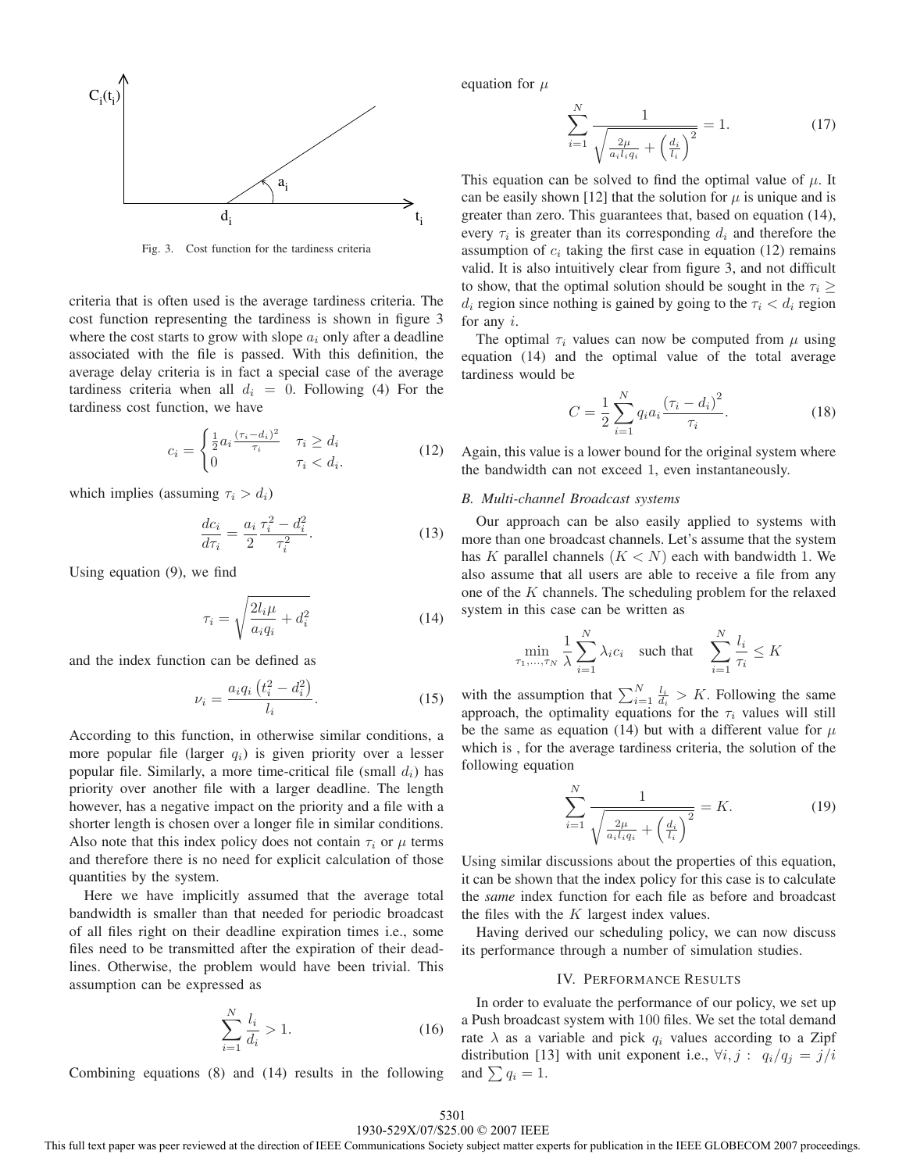

Fig. 3. Cost function for the tardiness criteria

criteria that is often used is the average tardiness criteria. The cost function representing the tardiness is shown in figure 3 where the cost starts to grow with slope  $a_i$  only after a deadline associated with the file is passed. With this definition, the average delay criteria is in fact a special case of the average tardiness criteria when all  $d_i = 0$ . Following (4) For the tardiness cost function, we have

$$
c_i = \begin{cases} \frac{1}{2} a_i \frac{(\tau_i - d_i)^2}{\tau_i} & \tau_i \ge d_i\\ 0 & \tau_i < d_i. \end{cases} \tag{12}
$$

which implies (assuming  $\tau_i > d_i$ )

$$
\frac{dc_i}{d\tau_i} = \frac{a_i}{2} \frac{\tau_i^2 - d_i^2}{\tau_i^2}.
$$
\n(13)

Using equation (9), we find

$$
\tau_i = \sqrt{\frac{2l_i\mu}{a_iq_i} + d_i^2} \tag{14}
$$

and the index function can be defined as

$$
\nu_i = \frac{a_i q_i (t_i^2 - d_i^2)}{l_i}.
$$
\n(15)

According to this function, in otherwise similar conditions, a more popular file (larger  $q_i$ ) is given priority over a lesser popular file. Similarly, a more time-critical file (small  $d_i$ ) has priority over another file with a larger deadline. The length however, has a negative impact on the priority and a file with a shorter length is chosen over a longer file in similar conditions. Also note that this index policy does not contain  $\tau_i$  or  $\mu$  terms and therefore there is no need for explicit calculation of those quantities by the system.

Here we have implicitly assumed that the average total bandwidth is smaller than that needed for periodic broadcast of all files right on their deadline expiration times i.e., some files need to be transmitted after the expiration of their deadlines. Otherwise, the problem would have been trivial. This assumption can be expressed as

$$
\sum_{i=1}^{N} \frac{l_i}{d_i} > 1. \tag{16}
$$

Combining equations (8) and (14) results in the following

equation for  $\mu$ 

$$
\sum_{i=1}^{N} \frac{1}{\sqrt{\frac{2\mu}{a_i l_i q_i} + \left(\frac{d_i}{l_i}\right)^2}} = 1.
$$
 (17)

This equation can be solved to find the optimal value of  $\mu$ . It can be easily shown [12] that the solution for  $\mu$  is unique and is greater than zero. This guarantees that, based on equation (14), every  $\tau_i$  is greater than its corresponding  $d_i$  and therefore the assumption of  $c_i$  taking the first case in equation (12) remains valid. It is also intuitively clear from figure 3, and not difficult to show, that the optimal solution should be sought in the  $\tau_i \geq$  $d_i$  region since nothing is gained by going to the  $\tau_i < d_i$  region for any i.

The optimal  $\tau_i$  values can now be computed from  $\mu$  using equation (14) and the optimal value of the total average tardiness would be

$$
C = \frac{1}{2} \sum_{i=1}^{N} q_i a_i \frac{(\tau_i - d_i)^2}{\tau_i}.
$$
 (18)

Again, this value is a lower bound for the original system where the bandwidth can not exceed 1, even instantaneously.

#### *B. Multi-channel Broadcast systems*

Our approach can be also easily applied to systems with more than one broadcast channels. Let's assume that the system has K parallel channels  $(K < N)$  each with bandwidth 1. We also assume that all users are able to receive a file from any one of the  $K$  channels. The scheduling problem for the relaxed system in this case can be written as

$$
\min_{\tau_1, \dots, \tau_N} \frac{1}{\lambda} \sum_{i=1}^N \lambda_i c_i \quad \text{such that} \quad \sum_{i=1}^N \frac{l_i}{\tau_i} \le K
$$

with the assumption that  $\sum_{i=1}^{N} \frac{l_i}{d_i} > K$ . Following the same approach, the optimality equations for the  $\tau_i$  values will still be the same as equation (14) but with a different value for  $\mu$ which is , for the average tardiness criteria, the solution of the following equation

$$
\sum_{i=1}^{N} \frac{1}{\sqrt{\frac{2\mu}{a_i l_i q_i} + \left(\frac{d_i}{l_i}\right)^2}} = K.
$$
 (19)

Using similar discussions about the properties of this equation, it can be shown that the index policy for this case is to calculate the *same* index function for each file as before and broadcast the files with the  $K$  largest index values.

Having derived our scheduling policy, we can now discuss its performance through a number of simulation studies.

# IV. PERFORMANCE RESULTS

In order to evaluate the performance of our policy, we set up a Push broadcast system with 100 files. We set the total demand rate  $\lambda$  as a variable and pick  $q_i$  values according to a Zipf distribution [13] with unit exponent i.e.,  $\forall i, j : q_i/q_j = j/i$ and  $\sum q_i = 1$ .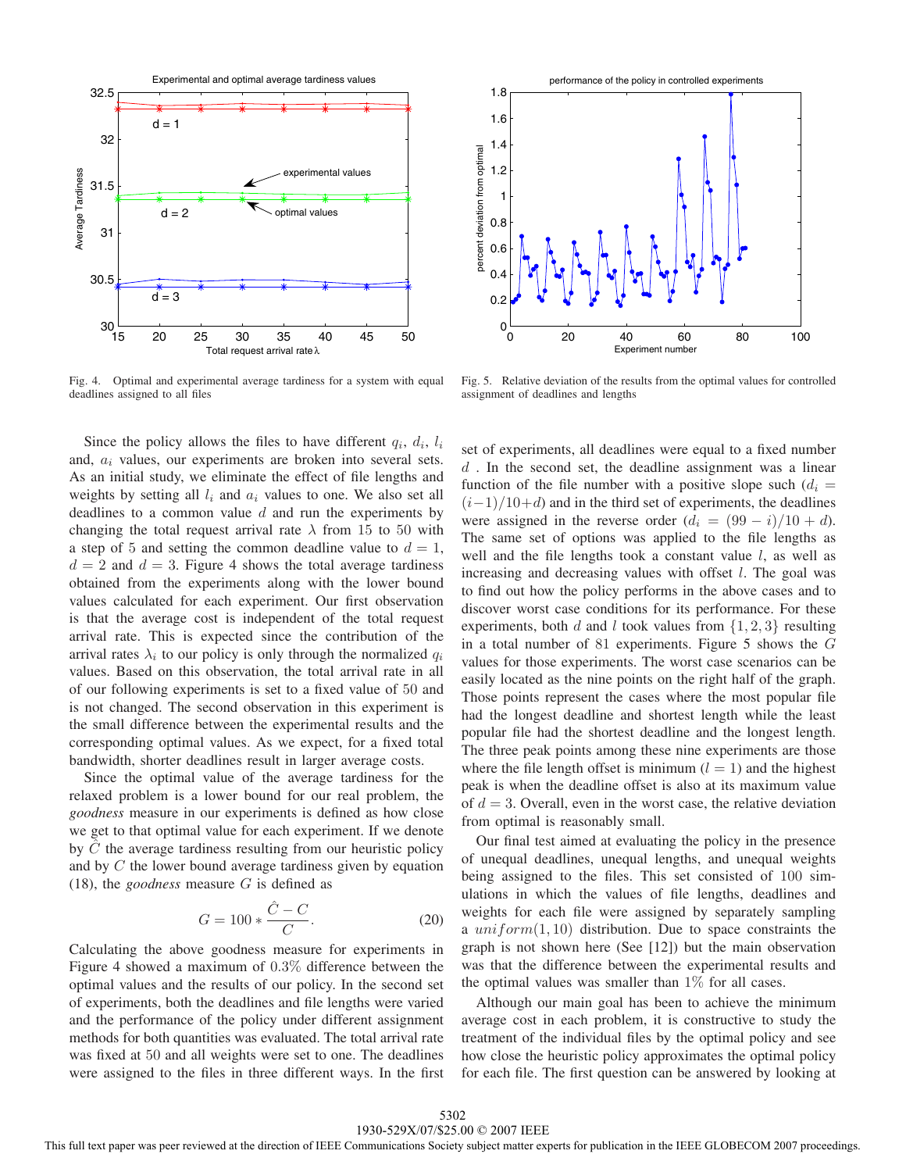

Fig. 4. Optimal and experimental average tardiness for a system with equal deadlines assigned to all files

Since the policy allows the files to have different  $q_i$ ,  $d_i$ ,  $l_i$ and,  $a_i$  values, our experiments are broken into several sets. As an initial study, we eliminate the effect of file lengths and weights by setting all  $l_i$  and  $a_i$  values to one. We also set all deadlines to a common value  $d$  and run the experiments by changing the total request arrival rate  $\lambda$  from 15 to 50 with a step of 5 and setting the common deadline value to  $d = 1$ ,  $d = 2$  and  $d = 3$ . Figure 4 shows the total average tardiness obtained from the experiments along with the lower bound values calculated for each experiment. Our first observation is that the average cost is independent of the total request arrival rate. This is expected since the contribution of the arrival rates  $\lambda_i$  to our policy is only through the normalized  $q_i$ values. Based on this observation, the total arrival rate in all of our following experiments is set to a fixed value of 50 and is not changed. The second observation in this experiment is the small difference between the experimental results and the corresponding optimal values. As we expect, for a fixed total bandwidth, shorter deadlines result in larger average costs.

Since the optimal value of the average tardiness for the relaxed problem is a lower bound for our real problem, the *goodness* measure in our experiments is defined as how close we get to that optimal value for each experiment. If we denote by  $\ddot{C}$  the average tardiness resulting from our heuristic policy and by C the lower bound average tardiness given by equation (18), the *goodness* measure G is defined as

$$
G = 100 * \frac{\hat{C} - C}{C}.
$$
 (20)

Calculating the above goodness measure for experiments in Figure 4 showed a maximum of 0.3% difference between the optimal values and the results of our policy. In the second set of experiments, both the deadlines and file lengths were varied and the performance of the policy under different assignment methods for both quantities was evaluated. The total arrival rate was fixed at 50 and all weights were set to one. The deadlines were assigned to the files in three different ways. In the first



Fig. 5. Relative deviation of the results from the optimal values for controlled assignment of deadlines and lengths

set of experiments, all deadlines were equal to a fixed number  $d$ . In the second set, the deadline assignment was a linear function of the file number with a positive slope such  $(d_i =$  $(i-1)/10+d$  and in the third set of experiments, the deadlines were assigned in the reverse order  $(d_i = (99 - i)/10 + d)$ . The same set of options was applied to the file lengths as well and the file lengths took a constant value  $l$ , as well as increasing and decreasing values with offset l. The goal was to find out how the policy performs in the above cases and to discover worst case conditions for its performance. For these experiments, both d and l took values from  $\{1, 2, 3\}$  resulting in a total number of 81 experiments. Figure 5 shows the  $G$ values for those experiments. The worst case scenarios can be easily located as the nine points on the right half of the graph. Those points represent the cases where the most popular file had the longest deadline and shortest length while the least popular file had the shortest deadline and the longest length. The three peak points among these nine experiments are those where the file length offset is minimum  $(l = 1)$  and the highest peak is when the deadline offset is also at its maximum value of  $d = 3$ . Overall, even in the worst case, the relative deviation from optimal is reasonably small.

Our final test aimed at evaluating the policy in the presence of unequal deadlines, unequal lengths, and unequal weights being assigned to the files. This set consisted of 100 simulations in which the values of file lengths, deadlines and weights for each file were assigned by separately sampling a  $uniform(1, 10)$  distribution. Due to space constraints the graph is not shown here (See [12]) but the main observation was that the difference between the experimental results and the optimal values was smaller than  $1\%$  for all cases.

Although our main goal has been to achieve the minimum average cost in each problem, it is constructive to study the treatment of the individual files by the optimal policy and see how close the heuristic policy approximates the optimal policy for each file. The first question can be answered by looking at